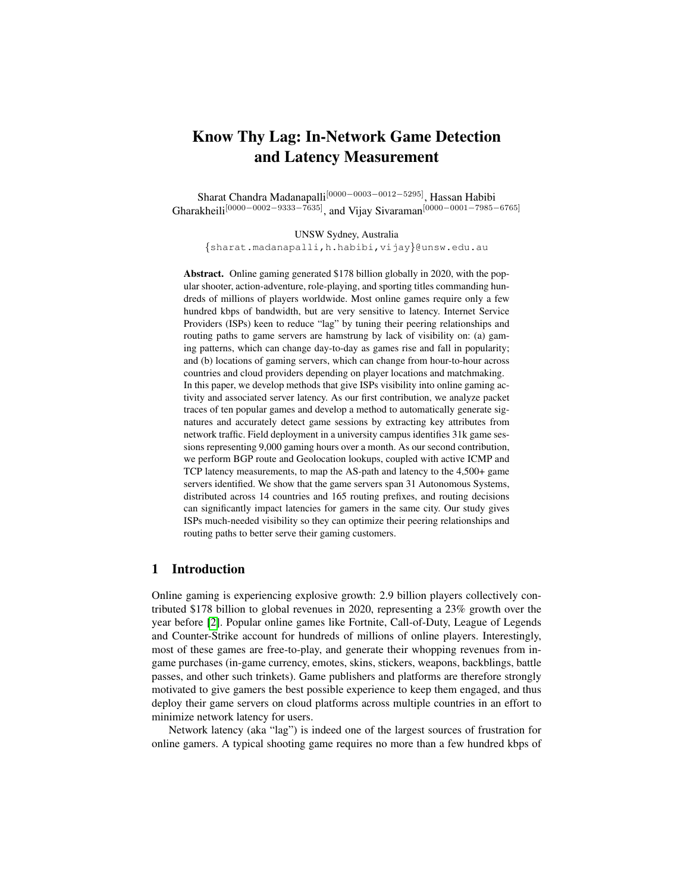# Know Thy Lag: In-Network Game Detection and Latency Measurement

Sharat Chandra Madanapalli[0000−0003−0012−5295], Hassan Habibi Gharakheili<sup>[0000–0002–9333–7635]</sup>, and Vijay Sivaraman<sup>[0000–0001–7985–6765]</sup>

UNSW Sydney, Australia {sharat.madanapalli,h.habibi,vijay}@unsw.edu.au

Abstract. Online gaming generated \$178 billion globally in 2020, with the popular shooter, action-adventure, role-playing, and sporting titles commanding hundreds of millions of players worldwide. Most online games require only a few hundred kbps of bandwidth, but are very sensitive to latency. Internet Service Providers (ISPs) keen to reduce "lag" by tuning their peering relationships and routing paths to game servers are hamstrung by lack of visibility on: (a) gaming patterns, which can change day-to-day as games rise and fall in popularity; and (b) locations of gaming servers, which can change from hour-to-hour across countries and cloud providers depending on player locations and matchmaking. In this paper, we develop methods that give ISPs visibility into online gaming activity and associated server latency. As our first contribution, we analyze packet traces of ten popular games and develop a method to automatically generate signatures and accurately detect game sessions by extracting key attributes from network traffic. Field deployment in a university campus identifies 31k game sessions representing 9,000 gaming hours over a month. As our second contribution, we perform BGP route and Geolocation lookups, coupled with active ICMP and TCP latency measurements, to map the AS-path and latency to the 4,500+ game servers identified. We show that the game servers span 31 Autonomous Systems, distributed across 14 countries and 165 routing prefixes, and routing decisions can significantly impact latencies for gamers in the same city. Our study gives ISPs much-needed visibility so they can optimize their peering relationships and routing paths to better serve their gaming customers.

## 1 Introduction

Online gaming is experiencing explosive growth: 2.9 billion players collectively contributed \$178 billion to global revenues in 2020, representing a 23% growth over the year before [\[2\]](#page-13-0). Popular online games like Fortnite, Call-of-Duty, League of Legends and Counter-Strike account for hundreds of millions of online players. Interestingly, most of these games are free-to-play, and generate their whopping revenues from ingame purchases (in-game currency, emotes, skins, stickers, weapons, backblings, battle passes, and other such trinkets). Game publishers and platforms are therefore strongly motivated to give gamers the best possible experience to keep them engaged, and thus deploy their game servers on cloud platforms across multiple countries in an effort to minimize network latency for users.

Network latency (aka "lag") is indeed one of the largest sources of frustration for online gamers. A typical shooting game requires no more than a few hundred kbps of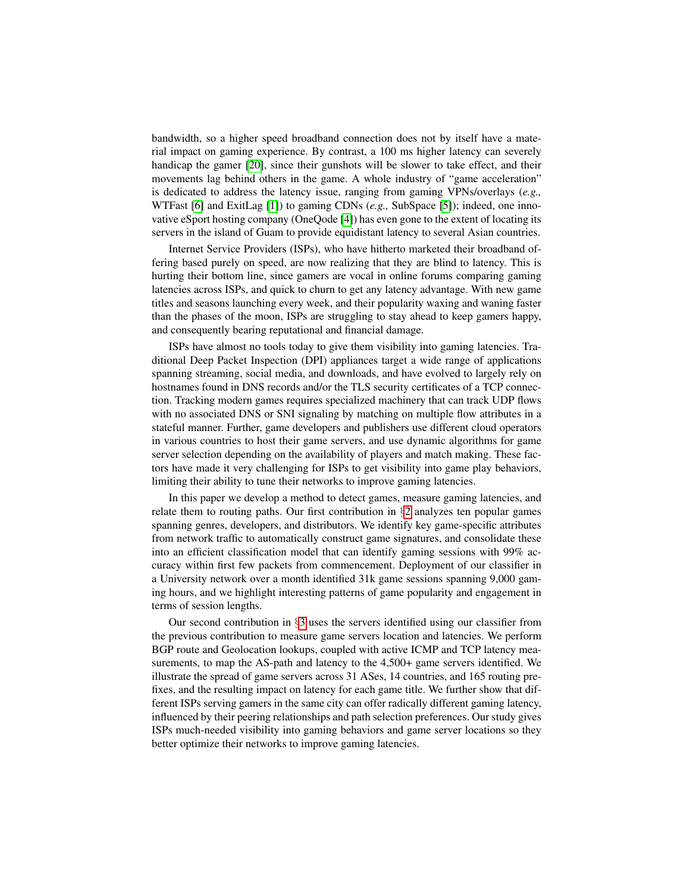bandwidth, so a higher speed broadband connection does not by itself have a material impact on gaming experience. By contrast, a 100 ms higher latency can severely handicap the gamer [\[20\]](#page-14-0), since their gunshots will be slower to take effect, and their movements lag behind others in the game. A whole industry of "game acceleration" is dedicated to address the latency issue, ranging from gaming VPNs/overlays (*e.g.,* WTFast [\[6\]](#page-13-1) and ExitLag [\[1\]](#page-13-2)) to gaming CDNs (*e.g.,* SubSpace [\[5\]](#page-13-3)); indeed, one innovative eSport hosting company (OneQode [\[4\]](#page-13-4)) has even gone to the extent of locating its servers in the island of Guam to provide equidistant latency to several Asian countries.

Internet Service Providers (ISPs), who have hitherto marketed their broadband offering based purely on speed, are now realizing that they are blind to latency. This is hurting their bottom line, since gamers are vocal in online forums comparing gaming latencies across ISPs, and quick to churn to get any latency advantage. With new game titles and seasons launching every week, and their popularity waxing and waning faster than the phases of the moon, ISPs are struggling to stay ahead to keep gamers happy, and consequently bearing reputational and financial damage.

ISPs have almost no tools today to give them visibility into gaming latencies. Traditional Deep Packet Inspection (DPI) appliances target a wide range of applications spanning streaming, social media, and downloads, and have evolved to largely rely on hostnames found in DNS records and/or the TLS security certificates of a TCP connection. Tracking modern games requires specialized machinery that can track UDP flows with no associated DNS or SNI signaling by matching on multiple flow attributes in a stateful manner. Further, game developers and publishers use different cloud operators in various countries to host their game servers, and use dynamic algorithms for game server selection depending on the availability of players and match making. These factors have made it very challenging for ISPs to get visibility into game play behaviors, limiting their ability to tune their networks to improve gaming latencies.

In this paper we develop a method to detect games, measure gaming latencies, and relate them to routing paths. Our first contribution in  $\S2$  $\S2$  analyzes ten popular games spanning genres, developers, and distributors. We identify key game-specific attributes from network traffic to automatically construct game signatures, and consolidate these into an efficient classification model that can identify gaming sessions with 99% accuracy within first few packets from commencement. Deployment of our classifier in a University network over a month identified 31k game sessions spanning 9,000 gaming hours, and we highlight interesting patterns of game popularity and engagement in terms of session lengths.

Our second contribution in  $\S$ [3](#page-8-0) uses the servers identified using our classifier from the previous contribution to measure game servers location and latencies. We perform BGP route and Geolocation lookups, coupled with active ICMP and TCP latency measurements, to map the AS-path and latency to the 4,500+ game servers identified. We illustrate the spread of game servers across 31 ASes, 14 countries, and 165 routing prefixes, and the resulting impact on latency for each game title. We further show that different ISPs serving gamers in the same city can offer radically different gaming latency, influenced by their peering relationships and path selection preferences. Our study gives ISPs much-needed visibility into gaming behaviors and game server locations so they better optimize their networks to improve gaming latencies.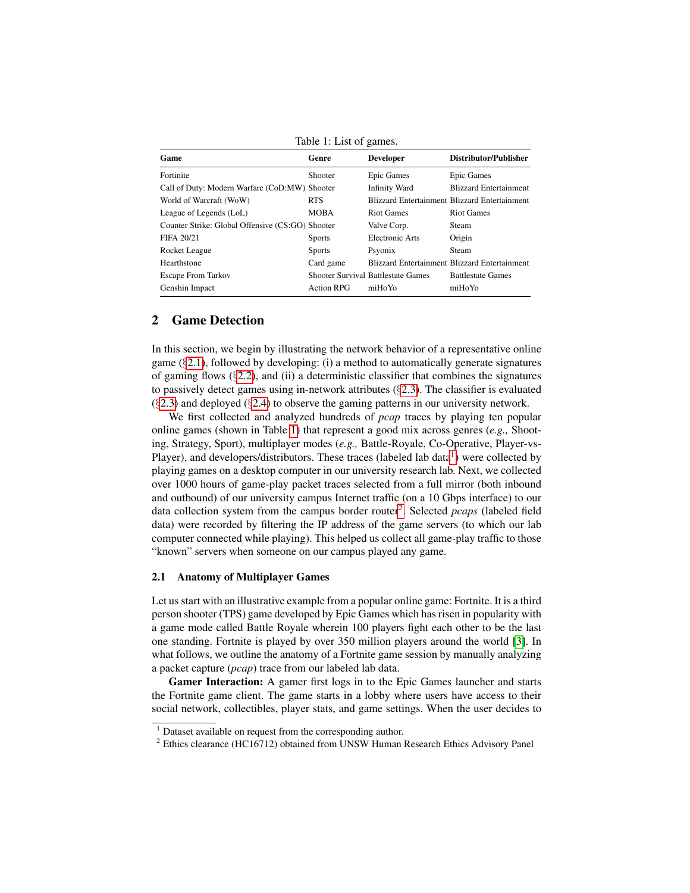<span id="page-2-2"></span>

| Game                                             | Genre             | <b>Developer</b>                          | Distributor/Publisher                                |
|--------------------------------------------------|-------------------|-------------------------------------------|------------------------------------------------------|
| Fortinite                                        | Shooter           | Epic Games                                | Epic Games                                           |
| Call of Duty: Modern Warfare (CoD:MW) Shooter    |                   | <b>Infinity Ward</b>                      | <b>Blizzard Entertainment</b>                        |
| World of Warcraft (WoW)                          | <b>RTS</b>        |                                           | <b>Blizzard Entertainment Blizzard Entertainment</b> |
| League of Legends (LoL)                          | <b>MOBA</b>       | <b>Riot Games</b>                         | <b>Riot Games</b>                                    |
| Counter Strike: Global Offensive (CS:GO) Shooter |                   | Valve Corp.                               | Steam                                                |
| FIFA 20/21                                       | <b>Sports</b>     | Electronic Arts                           | Origin                                               |
| Rocket League                                    | <b>Sports</b>     | Psyonix                                   | Steam                                                |
| Hearthstone                                      | Card game         |                                           | Blizzard Entertainment Blizzard Entertainment        |
| <b>Escape From Tarkov</b>                        |                   | <b>Shooter Survival Battlestate Games</b> | <b>Battlestate Games</b>                             |
| Genshin Impact                                   | <b>Action RPG</b> | miHoYo                                    | miHoYo                                               |

Table 1: List of games.

# <span id="page-2-0"></span>2 Game Detection

In this section, we begin by illustrating the network behavior of a representative online game  $(\S 2.1)$  $(\S 2.1)$ , followed by developing: (i) a method to automatically generate signatures of gaming flows  $(\S2.2)$  $(\S2.2)$ , and (ii) a deterministic classifier that combines the signatures to passively detect games using in-network attributes  $(\S2.3)$  $(\S2.3)$ . The classifier is evaluated  $(\S2.3)$  $(\S2.3)$  and deployed  $(\S2.4)$  $(\S2.4)$  to observe the gaming patterns in our university network.

We first collected and analyzed hundreds of *pcap* traces by playing ten popular online games (shown in Table [1\)](#page-2-2) that represent a good mix across genres (*e.g.,* Shooting, Strategy, Sport), multiplayer modes (*e.g.,* Battle-Royale, Co-Operative, Player-vs-Player), and developers/distributors. These traces (labeled lab data $<sup>1</sup>$  $<sup>1</sup>$  $<sup>1</sup>$ ) were collected by</sup> playing games on a desktop computer in our university research lab. Next, we collected over 1000 hours of game-play packet traces selected from a full mirror (both inbound and outbound) of our university campus Internet traffic (on a 10 Gbps interface) to our data collection system from the campus border router<sup>[2](#page-2-4)</sup>. Selected *pcaps* (labeled field data) were recorded by filtering the IP address of the game servers (to which our lab computer connected while playing). This helped us collect all game-play traffic to those "known" servers when someone on our campus played any game.

#### <span id="page-2-1"></span>2.1 Anatomy of Multiplayer Games

Let us start with an illustrative example from a popular online game: Fortnite. It is a third person shooter (TPS) game developed by Epic Games which has risen in popularity with a game mode called Battle Royale wherein 100 players fight each other to be the last one standing. Fortnite is played by over 350 million players around the world [\[3\]](#page-13-5). In what follows, we outline the anatomy of a Fortnite game session by manually analyzing a packet capture (*pcap*) trace from our labeled lab data.

Gamer Interaction: A gamer first logs in to the Epic Games launcher and starts the Fortnite game client. The game starts in a lobby where users have access to their social network, collectibles, player stats, and game settings. When the user decides to

<span id="page-2-3"></span> $1$  Dataset available on request from the corresponding author.

<span id="page-2-4"></span><sup>&</sup>lt;sup>2</sup> Ethics clearance (HC16712) obtained from UNSW Human Research Ethics Advisory Panel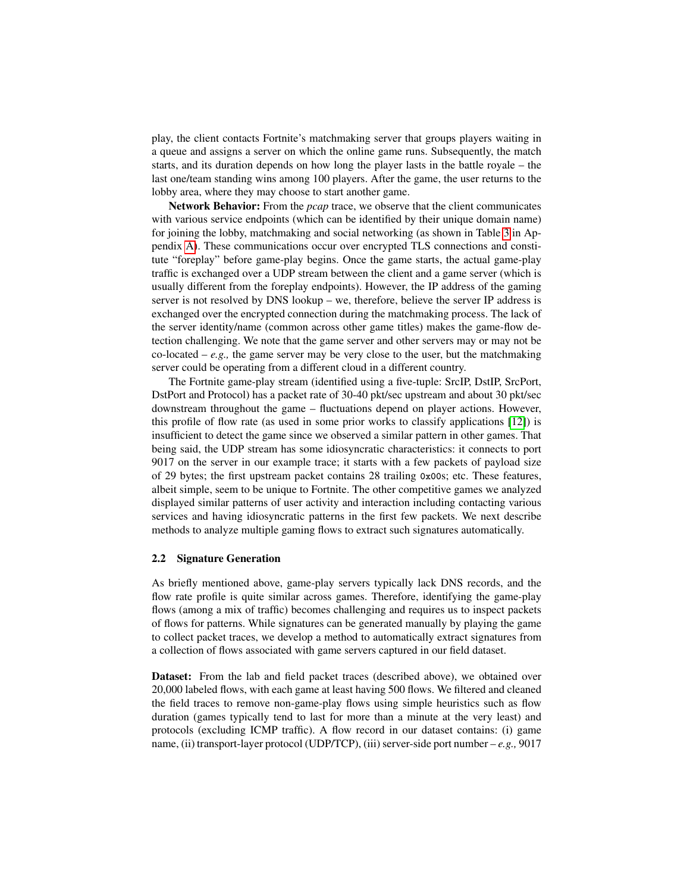play, the client contacts Fortnite's matchmaking server that groups players waiting in a queue and assigns a server on which the online game runs. Subsequently, the match starts, and its duration depends on how long the player lasts in the battle royale – the last one/team standing wins among 100 players. After the game, the user returns to the lobby area, where they may choose to start another game.

Network Behavior: From the *pcap* trace, we observe that the client communicates with various service endpoints (which can be identified by their unique domain name) for joining the lobby, matchmaking and social networking (as shown in Table [3](#page-12-0) in Appendix [A\)](#page-12-1). These communications occur over encrypted TLS connections and constitute "foreplay" before game-play begins. Once the game starts, the actual game-play traffic is exchanged over a UDP stream between the client and a game server (which is usually different from the foreplay endpoints). However, the IP address of the gaming server is not resolved by DNS lookup – we, therefore, believe the server IP address is exchanged over the encrypted connection during the matchmaking process. The lack of the server identity/name (common across other game titles) makes the game-flow detection challenging. We note that the game server and other servers may or may not be co-located  $-e.g.,$  the game server may be very close to the user, but the matchmaking server could be operating from a different cloud in a different country.

The Fortnite game-play stream (identified using a five-tuple: SrcIP, DstIP, SrcPort, DstPort and Protocol) has a packet rate of 30-40 pkt/sec upstream and about 30 pkt/sec downstream throughout the game – fluctuations depend on player actions. However, this profile of flow rate (as used in some prior works to classify applications [\[12\]](#page-13-6)) is insufficient to detect the game since we observed a similar pattern in other games. That being said, the UDP stream has some idiosyncratic characteristics: it connects to port 9017 on the server in our example trace; it starts with a few packets of payload size of 29 bytes; the first upstream packet contains 28 trailing **0x00**s; etc. These features, albeit simple, seem to be unique to Fortnite. The other competitive games we analyzed displayed similar patterns of user activity and interaction including contacting various services and having idiosyncratic patterns in the first few packets. We next describe methods to analyze multiple gaming flows to extract such signatures automatically.

#### <span id="page-3-0"></span>2.2 Signature Generation

As briefly mentioned above, game-play servers typically lack DNS records, and the flow rate profile is quite similar across games. Therefore, identifying the game-play flows (among a mix of traffic) becomes challenging and requires us to inspect packets of flows for patterns. While signatures can be generated manually by playing the game to collect packet traces, we develop a method to automatically extract signatures from a collection of flows associated with game servers captured in our field dataset.

Dataset: From the lab and field packet traces (described above), we obtained over 20,000 labeled flows, with each game at least having 500 flows. We filtered and cleaned the field traces to remove non-game-play flows using simple heuristics such as flow duration (games typically tend to last for more than a minute at the very least) and protocols (excluding ICMP traffic). A flow record in our dataset contains: (i) game name, (ii) transport-layer protocol (UDP/TCP), (iii) server-side port number – *e.g.,* 9017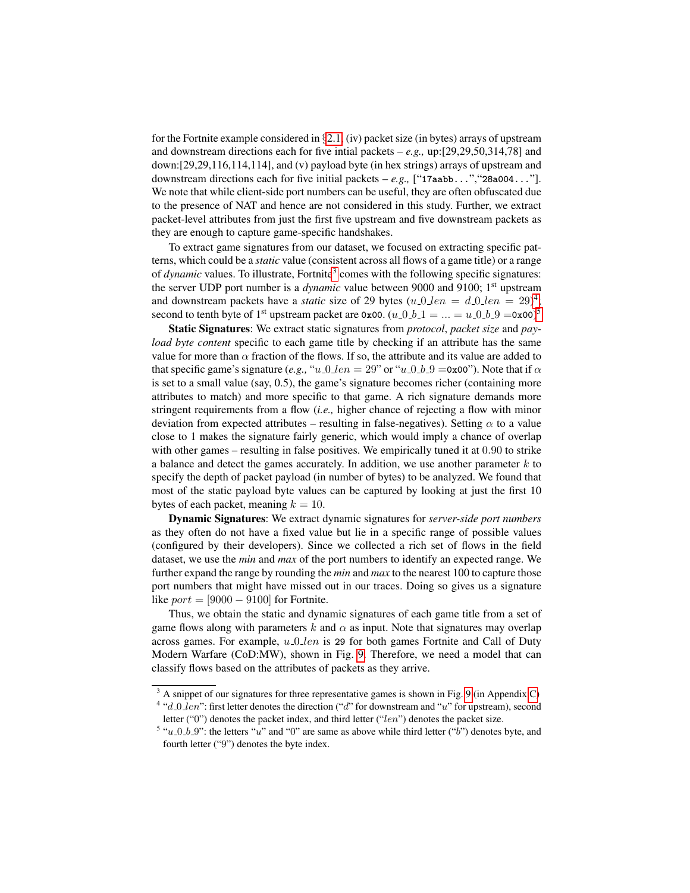for the Fortnite example considered in  $\S 2.1$ , (iv) packet size (in bytes) arrays of upstream and downstream directions each for five intial packets – *e.g.,* up:[29,29,50,314,78] and down:[29,29,116,114,114], and (v) payload byte (in hex strings) arrays of upstream and downstream directions each for five initial packets – *e.g.,* ["**17aabb...**","**28a004...**"]. We note that while client-side port numbers can be useful, they are often obfuscated due to the presence of NAT and hence are not considered in this study. Further, we extract packet-level attributes from just the first five upstream and five downstream packets as they are enough to capture game-specific handshakes.

To extract game signatures from our dataset, we focused on extracting specific patterns, which could be a *static* value (consistent across all flows of a game title) or a range of *dynamic* values. To illustrate, Fortnite<sup>[3](#page-4-0)</sup> comes with the following specific signatures: the server UDP port number is a *dynamic* value between 9000 and 9100; 1<sup>st</sup> upstream and downstream packets have a *static* size of 29 bytes  $(u_0 \text{ and } u_0 \text{)} = d_0 \text{ and } u_0 = 29$ <sup>[4](#page-4-1)</sup>; second to tenth byte of 1<sup>st</sup> upstream packet are  $0 \times 00$ .  $(u_0 b_1 1 = ... = u_0 b_0 9 = 0 \times 00)^5$  $(u_0 b_1 1 = ... = u_0 b_0 9 = 0 \times 00)^5$ 

Static Signatures: We extract static signatures from *protocol*, *packet size* and *payload byte content* specific to each game title by checking if an attribute has the same value for more than  $\alpha$  fraction of the flows. If so, the attribute and its value are added to that specific game's signature (*e.g.,* " $u_0 \cdot \ln 2 = 29$ " or " $u_0 \cdot \ln 9 = 0 \times 20$ "). Note that if  $\alpha$ is set to a small value (say, 0.5), the game's signature becomes richer (containing more attributes to match) and more specific to that game. A rich signature demands more stringent requirements from a flow (*i.e.,* higher chance of rejecting a flow with minor deviation from expected attributes – resulting in false-negatives). Setting  $\alpha$  to a value close to 1 makes the signature fairly generic, which would imply a chance of overlap with other games – resulting in false positives. We empirically tuned it at 0.90 to strike a balance and detect the games accurately. In addition, we use another parameter  $k$  to specify the depth of packet payload (in number of bytes) to be analyzed. We found that most of the static payload byte values can be captured by looking at just the first 10 bytes of each packet, meaning  $k = 10$ .

Dynamic Signatures: We extract dynamic signatures for *server-side port numbers* as they often do not have a fixed value but lie in a specific range of possible values (configured by their developers). Since we collected a rich set of flows in the field dataset, we use the *min* and *max* of the port numbers to identify an expected range. We further expand the range by rounding the *min* and *max* to the nearest 100 to capture those port numbers that might have missed out in our traces. Doing so gives us a signature like  $port = [9000 - 9100]$  for Fortnite.

Thus, we obtain the static and dynamic signatures of each game title from a set of game flows along with parameters k and  $\alpha$  as input. Note that signatures may overlap across games. For example,  $u_0$  len is 29 for both games Fortnite and Call of Duty Modern Warfare (CoD:MW), shown in Fig. [9.](#page-13-7) Therefore, we need a model that can classify flows based on the attributes of packets as they arrive.

<span id="page-4-1"></span><span id="page-4-0"></span><sup>&</sup>lt;sup>3</sup> A snippet of our signatures for three representative games is shown in Fig. [9](#page-13-7) (in Appendix [C\)](#page-12-2) <sup>4</sup> "d\_0\_len": first letter denotes the direction ("d" for downstream and "u" for upstream), second letter ("0") denotes the packet index, and third letter ("len") denotes the packet size.

<span id="page-4-2"></span><sup>&</sup>lt;sup>5</sup> "u\_0\_b\_9": the letters "u" and "0" are same as above while third letter ("b") denotes byte, and fourth letter ("9") denotes the byte index.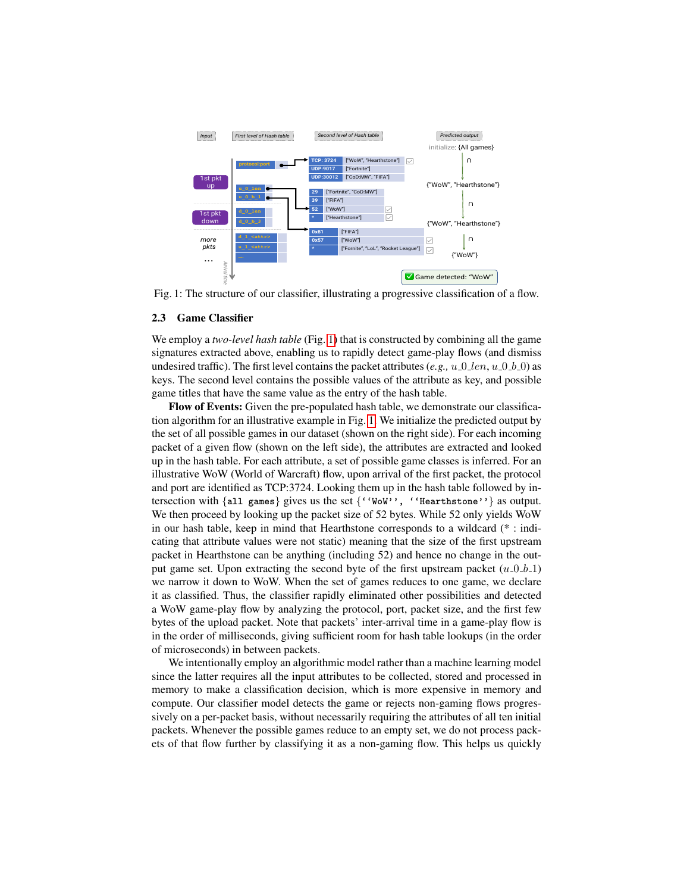<span id="page-5-1"></span>

Fig. 1: The structure of our classifier, illustrating a progressive classification of a flow.

#### <span id="page-5-0"></span>2.3 Game Classifier

We employ a *two-level hash table* (Fig. [1\)](#page-5-1) that is constructed by combining all the game signatures extracted above, enabling us to rapidly detect game-play flows (and dismiss undesired traffic). The first level contains the packet attributes  $(e.g., u_0_l = 0 \cdot h_0)$  as keys. The second level contains the possible values of the attribute as key, and possible game titles that have the same value as the entry of the hash table.

Flow of Events: Given the pre-populated hash table, we demonstrate our classification algorithm for an illustrative example in Fig. [1.](#page-5-1) We initialize the predicted output by the set of all possible games in our dataset (shown on the right side). For each incoming packet of a given flow (shown on the left side), the attributes are extracted and looked up in the hash table. For each attribute, a set of possible game classes is inferred. For an illustrative WoW (World of Warcraft) flow, upon arrival of the first packet, the protocol and port are identified as TCP:3724. Looking them up in the hash table followed by intersection with {**all games**} gives us the set {**''WoW'', ''Hearthstone''**} as output. We then proceed by looking up the packet size of 52 bytes. While 52 only yields WoW in our hash table, keep in mind that Hearthstone corresponds to a wildcard (\* : indicating that attribute values were not static) meaning that the size of the first upstream packet in Hearthstone can be anything (including 52) and hence no change in the output game set. Upon extracting the second byte of the first upstream packet  $(u_0, 0, b_1)$ we narrow it down to WoW. When the set of games reduces to one game, we declare it as classified. Thus, the classifier rapidly eliminated other possibilities and detected a WoW game-play flow by analyzing the protocol, port, packet size, and the first few bytes of the upload packet. Note that packets' inter-arrival time in a game-play flow is in the order of milliseconds, giving sufficient room for hash table lookups (in the order of microseconds) in between packets.

We intentionally employ an algorithmic model rather than a machine learning model since the latter requires all the input attributes to be collected, stored and processed in memory to make a classification decision, which is more expensive in memory and compute. Our classifier model detects the game or rejects non-gaming flows progressively on a per-packet basis, without necessarily requiring the attributes of all ten initial packets. Whenever the possible games reduce to an empty set, we do not process packets of that flow further by classifying it as a non-gaming flow. This helps us quickly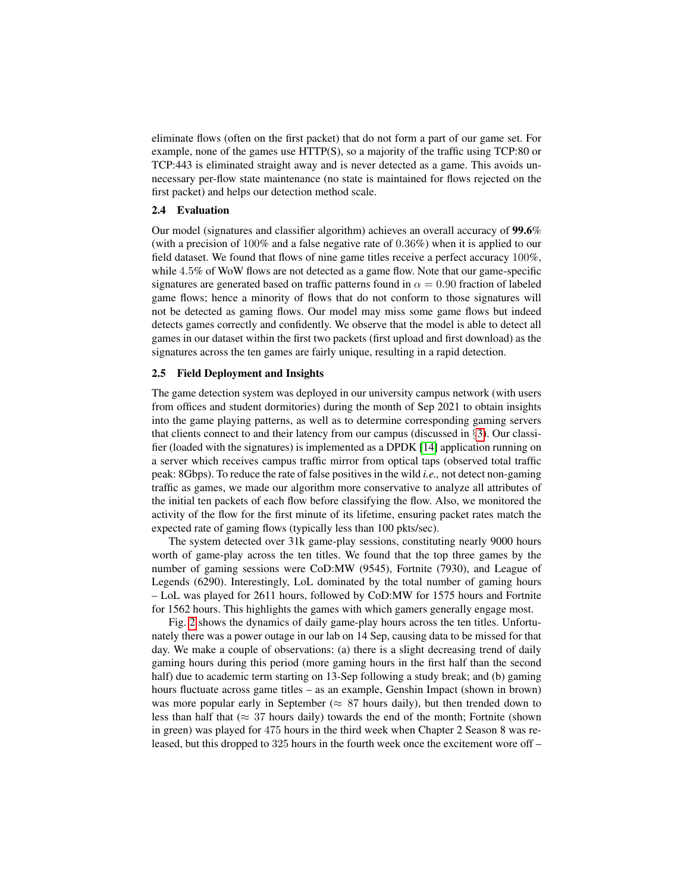eliminate flows (often on the first packet) that do not form a part of our game set. For example, none of the games use HTTP(S), so a majority of the traffic using TCP:80 or TCP:443 is eliminated straight away and is never detected as a game. This avoids unnecessary per-flow state maintenance (no state is maintained for flows rejected on the first packet) and helps our detection method scale.

## <span id="page-6-0"></span>2.4 Evaluation

Our model (signatures and classifier algorithm) achieves an overall accuracy of 99.6% (with a precision of 100% and a false negative rate of 0.36%) when it is applied to our field dataset. We found that flows of nine game titles receive a perfect accuracy 100%, while 4.5% of WoW flows are not detected as a game flow. Note that our game-specific signatures are generated based on traffic patterns found in  $\alpha = 0.90$  fraction of labeled game flows; hence a minority of flows that do not conform to those signatures will not be detected as gaming flows. Our model may miss some game flows but indeed detects games correctly and confidently. We observe that the model is able to detect all games in our dataset within the first two packets (first upload and first download) as the signatures across the ten games are fairly unique, resulting in a rapid detection.

## 2.5 Field Deployment and Insights

The game detection system was deployed in our university campus network (with users from offices and student dormitories) during the month of Sep 2021 to obtain insights into the game playing patterns, as well as to determine corresponding gaming servers that clients connect to and their latency from our campus (discussed in §[3\)](#page-8-0). Our classifier (loaded with the signatures) is implemented as a DPDK [\[14\]](#page-13-8) application running on a server which receives campus traffic mirror from optical taps (observed total traffic peak: 8Gbps). To reduce the rate of false positives in the wild *i.e.,* not detect non-gaming traffic as games, we made our algorithm more conservative to analyze all attributes of the initial ten packets of each flow before classifying the flow. Also, we monitored the activity of the flow for the first minute of its lifetime, ensuring packet rates match the expected rate of gaming flows (typically less than 100 pkts/sec).

The system detected over 31k game-play sessions, constituting nearly 9000 hours worth of game-play across the ten titles. We found that the top three games by the number of gaming sessions were CoD:MW (9545), Fortnite (7930), and League of Legends (6290). Interestingly, LoL dominated by the total number of gaming hours – LoL was played for 2611 hours, followed by CoD:MW for 1575 hours and Fortnite for 1562 hours. This highlights the games with which gamers generally engage most.

Fig. [2](#page-7-0) shows the dynamics of daily game-play hours across the ten titles. Unfortunately there was a power outage in our lab on 14 Sep, causing data to be missed for that day. We make a couple of observations: (a) there is a slight decreasing trend of daily gaming hours during this period (more gaming hours in the first half than the second half) due to academic term starting on 13-Sep following a study break; and (b) gaming hours fluctuate across game titles – as an example, Genshin Impact (shown in brown) was more popular early in September ( $\approx 87$  hours daily), but then trended down to less than half that ( $\approx$  37 hours daily) towards the end of the month; Fortnite (shown in green) was played for 475 hours in the third week when Chapter 2 Season 8 was released, but this dropped to 325 hours in the fourth week once the excitement wore off –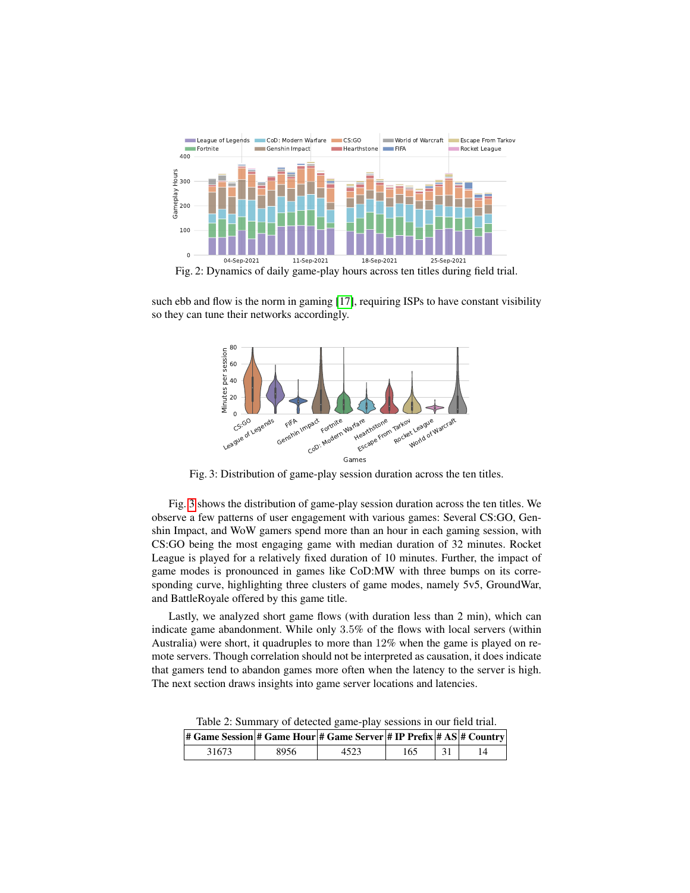<span id="page-7-0"></span>

Fig. 2: Dynamics of daily game-play hours across ten titles during field trial.

<span id="page-7-1"></span>such ebb and flow is the norm in gaming [\[17\]](#page-14-1), requiring ISPs to have constant visibility so they can tune their networks accordingly.



Fig. 3: Distribution of game-play session duration across the ten titles.

Fig. [3](#page-7-1) shows the distribution of game-play session duration across the ten titles. We observe a few patterns of user engagement with various games: Several CS:GO, Genshin Impact, and WoW gamers spend more than an hour in each gaming session, with CS:GO being the most engaging game with median duration of 32 minutes. Rocket League is played for a relatively fixed duration of 10 minutes. Further, the impact of game modes is pronounced in games like CoD:MW with three bumps on its corresponding curve, highlighting three clusters of game modes, namely 5v5, GroundWar, and BattleRoyale offered by this game title.

Lastly, we analyzed short game flows (with duration less than 2 min), which can indicate game abandonment. While only 3.5% of the flows with local servers (within Australia) were short, it quadruples to more than 12% when the game is played on remote servers. Though correlation should not be interpreted as causation, it does indicate that gamers tend to abandon games more often when the latency to the server is high. The next section draws insights into game server locations and latencies.

Table 2: Summary of detected game-play sessions in our field trial.

<span id="page-7-2"></span>

| # Game Session # Game Hour # Game Server  # IP Prefix  # AS  # Country |      |      |     |  |
|------------------------------------------------------------------------|------|------|-----|--|
| 31673                                                                  | 8956 | 4523 | 165 |  |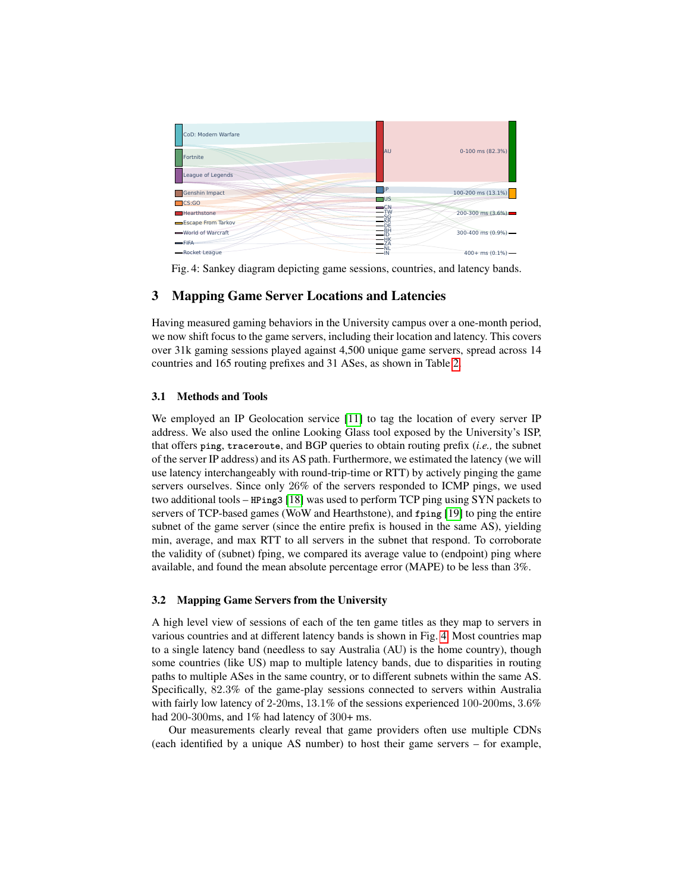<span id="page-8-1"></span>

Fig. 4: Sankey diagram depicting game sessions, countries, and latency bands.

# <span id="page-8-0"></span>3 Mapping Game Server Locations and Latencies

Having measured gaming behaviors in the University campus over a one-month period, we now shift focus to the game servers, including their location and latency. This covers over 31k gaming sessions played against 4,500 unique game servers, spread across 14 countries and 165 routing prefixes and 31 ASes, as shown in Table [2.](#page-7-2)

## 3.1 Methods and Tools

We employed an IP Geolocation service [\[11\]](#page-13-9) to tag the location of every server IP address. We also used the online Looking Glass tool exposed by the University's ISP, that offers **ping**, **traceroute**, and BGP queries to obtain routing prefix (*i.e.,* the subnet of the server IP address) and its AS path. Furthermore, we estimated the latency (we will use latency interchangeably with round-trip-time or RTT) by actively pinging the game servers ourselves. Since only 26% of the servers responded to ICMP pings, we used two additional tools – **HPing3** [\[18\]](#page-14-2) was used to perform TCP ping using SYN packets to servers of TCP-based games (WoW and Hearthstone), and **fping** [\[19\]](#page-14-3) to ping the entire subnet of the game server (since the entire prefix is housed in the same AS), yielding min, average, and max RTT to all servers in the subnet that respond. To corroborate the validity of (subnet) fping, we compared its average value to (endpoint) ping where available, and found the mean absolute percentage error (MAPE) to be less than 3%.

#### 3.2 Mapping Game Servers from the University

A high level view of sessions of each of the ten game titles as they map to servers in various countries and at different latency bands is shown in Fig. [4.](#page-8-1) Most countries map to a single latency band (needless to say Australia (AU) is the home country), though some countries (like US) map to multiple latency bands, due to disparities in routing paths to multiple ASes in the same country, or to different subnets within the same AS. Specifically, 82.3% of the game-play sessions connected to servers within Australia with fairly low latency of 2-20ms, 13.1% of the sessions experienced 100-200ms, 3.6% had 200-300ms, and 1% had latency of 300+ ms.

Our measurements clearly reveal that game providers often use multiple CDNs (each identified by a unique AS number) to host their game servers – for example,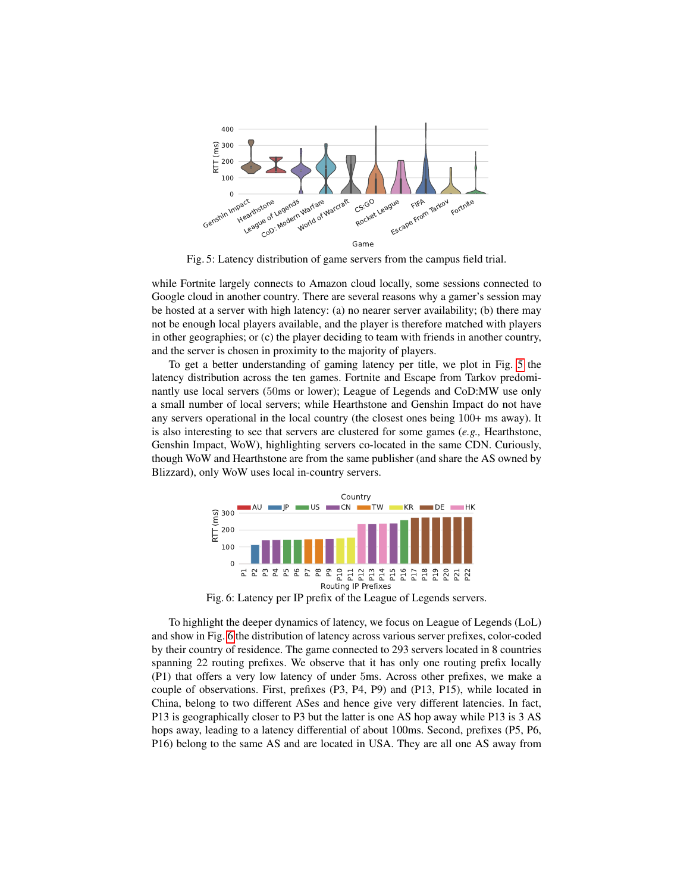<span id="page-9-0"></span>

Fig. 5: Latency distribution of game servers from the campus field trial.

while Fortnite largely connects to Amazon cloud locally, some sessions connected to Google cloud in another country. There are several reasons why a gamer's session may be hosted at a server with high latency: (a) no nearer server availability; (b) there may not be enough local players available, and the player is therefore matched with players in other geographies; or (c) the player deciding to team with friends in another country, and the server is chosen in proximity to the majority of players.

To get a better understanding of gaming latency per title, we plot in Fig. [5](#page-9-0) the latency distribution across the ten games. Fortnite and Escape from Tarkov predominantly use local servers (50ms or lower); League of Legends and CoD:MW use only a small number of local servers; while Hearthstone and Genshin Impact do not have any servers operational in the local country (the closest ones being 100+ ms away). It is also interesting to see that servers are clustered for some games (*e.g.,* Hearthstone, Genshin Impact, WoW), highlighting servers co-located in the same CDN. Curiously, though WoW and Hearthstone are from the same publisher (and share the AS owned by Blizzard), only WoW uses local in-country servers.

<span id="page-9-1"></span>

Fig. 6: Latency per IP prefix of the League of Legends servers.

To highlight the deeper dynamics of latency, we focus on League of Legends (LoL) and show in Fig. [6](#page-9-1) the distribution of latency across various server prefixes, color-coded by their country of residence. The game connected to 293 servers located in 8 countries spanning 22 routing prefixes. We observe that it has only one routing prefix locally (P1) that offers a very low latency of under 5ms. Across other prefixes, we make a couple of observations. First, prefixes (P3, P4, P9) and (P13, P15), while located in China, belong to two different ASes and hence give very different latencies. In fact, P13 is geographically closer to P3 but the latter is one AS hop away while P13 is 3 AS hops away, leading to a latency differential of about 100ms. Second, prefixes (P5, P6, P16) belong to the same AS and are located in USA. They are all one AS away from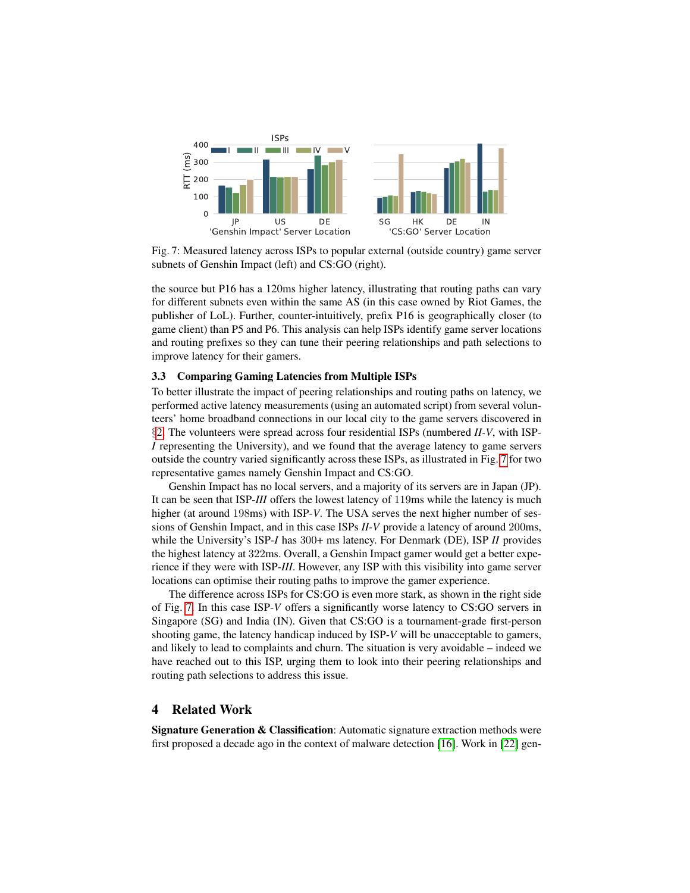<span id="page-10-0"></span>

Fig. 7: Measured latency across ISPs to popular external (outside country) game server subnets of Genshin Impact (left) and CS:GO (right).

the source but P16 has a 120ms higher latency, illustrating that routing paths can vary for different subnets even within the same AS (in this case owned by Riot Games, the publisher of LoL). Further, counter-intuitively, prefix P16 is geographically closer (to game client) than P5 and P6. This analysis can help ISPs identify game server locations and routing prefixes so they can tune their peering relationships and path selections to improve latency for their gamers.

## 3.3 Comparing Gaming Latencies from Multiple ISPs

To better illustrate the impact of peering relationships and routing paths on latency, we performed active latency measurements (using an automated script) from several volunteers' home broadband connections in our local city to the game servers discovered in §[2.](#page-2-0) The volunteers were spread across four residential ISPs (numbered *II-V*, with ISP-*I* representing the University), and we found that the average latency to game servers outside the country varied significantly across these ISPs, as illustrated in Fig. [7](#page-10-0) for two representative games namely Genshin Impact and CS:GO.

Genshin Impact has no local servers, and a majority of its servers are in Japan (JP). It can be seen that ISP-*III* offers the lowest latency of 119ms while the latency is much higher (at around 198ms) with ISP-*V*. The USA serves the next higher number of sessions of Genshin Impact, and in this case ISPs *II-V* provide a latency of around 200ms, while the University's ISP-*I* has 300+ ms latency. For Denmark (DE), ISP *II* provides the highest latency at 322ms. Overall, a Genshin Impact gamer would get a better experience if they were with ISP-*III*. However, any ISP with this visibility into game server locations can optimise their routing paths to improve the gamer experience.

The difference across ISPs for CS:GO is even more stark, as shown in the right side of Fig. [7.](#page-10-0) In this case ISP-*V* offers a significantly worse latency to CS:GO servers in Singapore (SG) and India (IN). Given that CS:GO is a tournament-grade first-person shooting game, the latency handicap induced by ISP-*V* will be unacceptable to gamers, and likely to lead to complaints and churn. The situation is very avoidable – indeed we have reached out to this ISP, urging them to look into their peering relationships and routing path selections to address this issue.

## 4 Related Work

Signature Generation & Classification: Automatic signature extraction methods were first proposed a decade ago in the context of malware detection [\[16\]](#page-14-4). Work in [\[22\]](#page-14-5) gen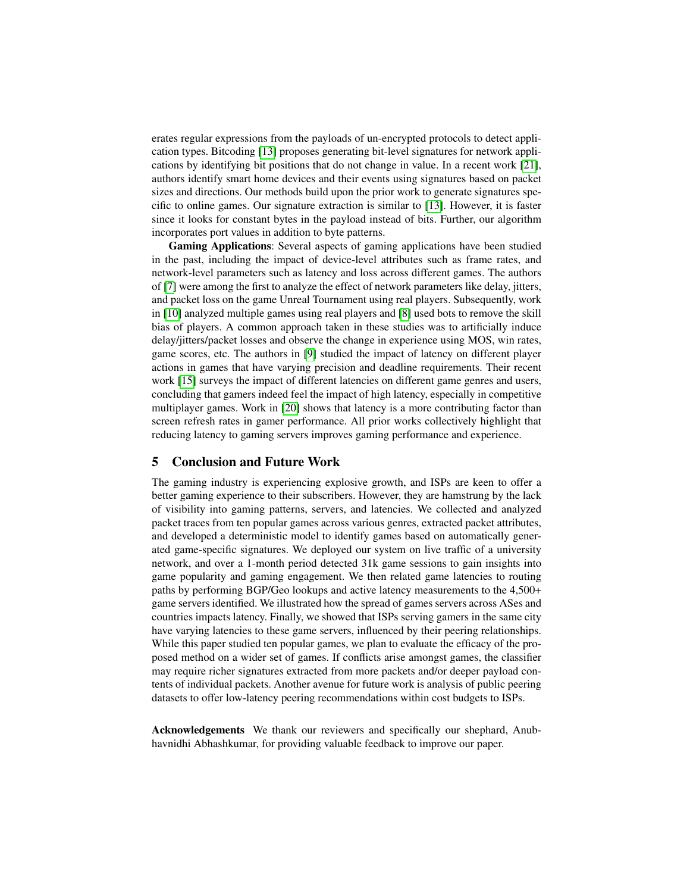erates regular expressions from the payloads of un-encrypted protocols to detect application types. Bitcoding [\[13\]](#page-13-10) proposes generating bit-level signatures for network applications by identifying bit positions that do not change in value. In a recent work [\[21\]](#page-14-6), authors identify smart home devices and their events using signatures based on packet sizes and directions. Our methods build upon the prior work to generate signatures specific to online games. Our signature extraction is similar to [\[13\]](#page-13-10). However, it is faster since it looks for constant bytes in the payload instead of bits. Further, our algorithm incorporates port values in addition to byte patterns.

Gaming Applications: Several aspects of gaming applications have been studied in the past, including the impact of device-level attributes such as frame rates, and network-level parameters such as latency and loss across different games. The authors of [\[7\]](#page-13-11) were among the first to analyze the effect of network parameters like delay, jitters, and packet loss on the game Unreal Tournament using real players. Subsequently, work in [\[10\]](#page-13-12) analyzed multiple games using real players and [\[8\]](#page-13-13) used bots to remove the skill bias of players. A common approach taken in these studies was to artificially induce delay/jitters/packet losses and observe the change in experience using MOS, win rates, game scores, etc. The authors in [\[9\]](#page-13-14) studied the impact of latency on different player actions in games that have varying precision and deadline requirements. Their recent work [\[15\]](#page-14-7) surveys the impact of different latencies on different game genres and users, concluding that gamers indeed feel the impact of high latency, especially in competitive multiplayer games. Work in [\[20\]](#page-14-0) shows that latency is a more contributing factor than screen refresh rates in gamer performance. All prior works collectively highlight that reducing latency to gaming servers improves gaming performance and experience.

## 5 Conclusion and Future Work

The gaming industry is experiencing explosive growth, and ISPs are keen to offer a better gaming experience to their subscribers. However, they are hamstrung by the lack of visibility into gaming patterns, servers, and latencies. We collected and analyzed packet traces from ten popular games across various genres, extracted packet attributes, and developed a deterministic model to identify games based on automatically generated game-specific signatures. We deployed our system on live traffic of a university network, and over a 1-month period detected 31k game sessions to gain insights into game popularity and gaming engagement. We then related game latencies to routing paths by performing BGP/Geo lookups and active latency measurements to the 4,500+ game servers identified. We illustrated how the spread of games servers across ASes and countries impacts latency. Finally, we showed that ISPs serving gamers in the same city have varying latencies to these game servers, influenced by their peering relationships. While this paper studied ten popular games, we plan to evaluate the efficacy of the proposed method on a wider set of games. If conflicts arise amongst games, the classifier may require richer signatures extracted from more packets and/or deeper payload contents of individual packets. Another avenue for future work is analysis of public peering datasets to offer low-latency peering recommendations within cost budgets to ISPs.

Acknowledgements We thank our reviewers and specifically our shephard, Anubhavnidhi Abhashkumar, for providing valuable feedback to improve our paper.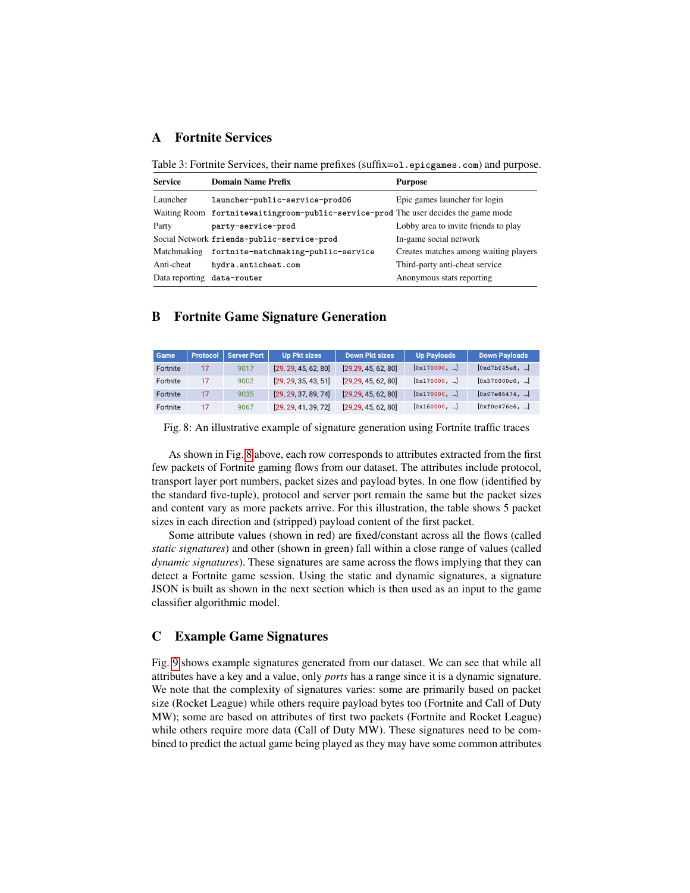# <span id="page-12-1"></span><span id="page-12-0"></span>A Fortnite Services

Table 3: Fortnite Services, their name prefixes (suffix=**ol.epicgames.com**) and purpose.

| <b>Service</b>             | <b>Domain Name Prefix</b>                                                            | <b>Purpose</b>                        |
|----------------------------|--------------------------------------------------------------------------------------|---------------------------------------|
| Launcher                   | launcher-public-service-prod06                                                       | Epic games launcher for login         |
|                            | Waiting Room fortnitewaiting room-public-service-prod The user decides the game mode |                                       |
| Party                      | party-service-prod                                                                   | Lobby area to invite friends to play  |
|                            | Social Network friends-public-service-prod                                           | In-game social network                |
| Matchmaking                | fortnite-matchmaking-public-service                                                  | Creates matches among waiting players |
| Anti-cheat                 | hydra.anticheat.com                                                                  | Third-party anti-cheat service        |
| Data reporting data-router |                                                                                      | Anonymous stats reporting             |

# B Fortnite Game Signature Generation

<span id="page-12-3"></span>

| Game            | <b>Protocol</b> | <b>Server Port</b> | <b>Up Pkt sizes</b>  | <b>Down Pkt sizes</b> | <b>Up Payloads</b> | <b>Down Payloads</b> |
|-----------------|-----------------|--------------------|----------------------|-----------------------|--------------------|----------------------|
| Fortnite        | 17              | 9017               | [29, 29, 45, 62, 80] | [29, 29, 45, 62, 80]  | [0x170000, ]       | [0xd7bf45e8, ]       |
| Fortnite        | 17              | 9002               | [29, 29, 35, 43, 51] | [29, 29, 45, 62, 80]  | [0x170000, ]       | [0x570000c0, ]       |
| <b>Fortnite</b> | 17              | 9035               | [29, 29, 37, 89, 74] | [29, 29, 45, 62, 80]  | [0x170000, ]       | [0x07e86474, ]       |
| Fortnite        | 17              | 9067               | [29, 29, 41, 39, 72] | [29, 29, 45, 62, 80]  | [0x160000, ]       | [0xf0c476e6, ]       |

Fig. 8: An illustrative example of signature generation using Fortnite traffic traces

As shown in Fig. [8](#page-12-3) above, each row corresponds to attributes extracted from the first few packets of Fortnite gaming flows from our dataset. The attributes include protocol, transport layer port numbers, packet sizes and payload bytes. In one flow (identified by the standard five-tuple), protocol and server port remain the same but the packet sizes and content vary as more packets arrive. For this illustration, the table shows 5 packet sizes in each direction and (stripped) payload content of the first packet.

Some attribute values (shown in red) are fixed/constant across all the flows (called *static signatures*) and other (shown in green) fall within a close range of values (called *dynamic signatures*). These signatures are same across the flows implying that they can detect a Fortnite game session. Using the static and dynamic signatures, a signature JSON is built as shown in the next section which is then used as an input to the game classifier algorithmic model.

## <span id="page-12-2"></span>C Example Game Signatures

Fig. [9](#page-13-7) shows example signatures generated from our dataset. We can see that while all attributes have a key and a value, only *ports* has a range since it is a dynamic signature. We note that the complexity of signatures varies: some are primarily based on packet size (Rocket League) while others require payload bytes too (Fortnite and Call of Duty MW); some are based on attributes of first two packets (Fortnite and Rocket League) while others require more data (Call of Duty MW). These signatures need to be combined to predict the actual game being played as they may have some common attributes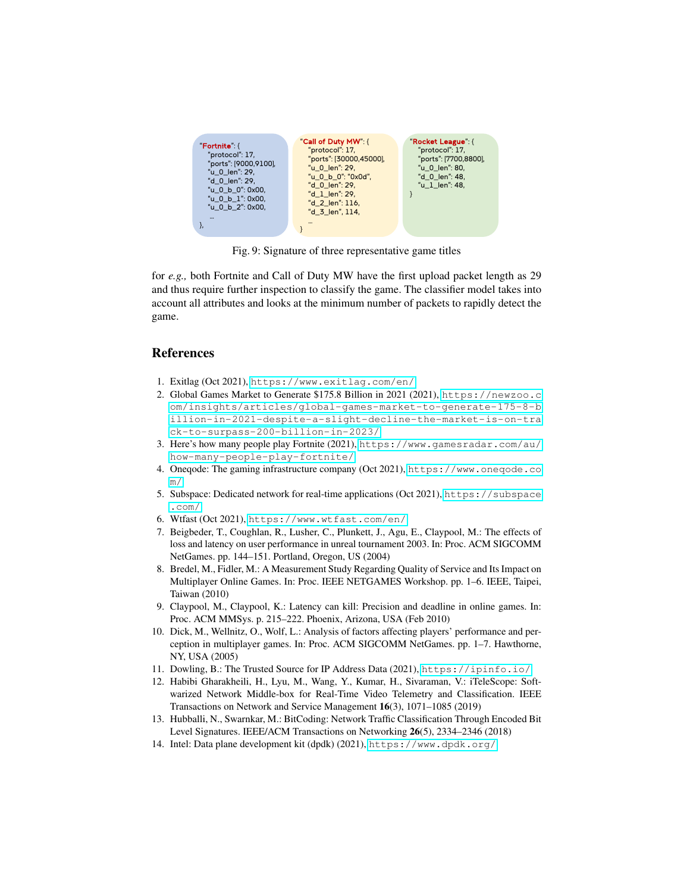<span id="page-13-7"></span>

Fig. 9: Signature of three representative game titles

for *e.g.,* both Fortnite and Call of Duty MW have the first upload packet length as 29 and thus require further inspection to classify the game. The classifier model takes into account all attributes and looks at the minimum number of packets to rapidly detect the game.

# References

- <span id="page-13-2"></span>1. Exitlag (Oct 2021), <https://www.exitlag.com/en/>
- <span id="page-13-0"></span>2. Global Games Market to Generate \$175.8 Billion in 2021 (2021), [https://newzoo.c](https://newzoo.com/insights/articles/global-games-market-to-generate-175-8-billion-in-2021-despite-a-slight-decline-the-market-is-on-track-to-surpass-200-billion-in-2023/) [om/insights/articles/global-games-market-to-generate-175-8-b](https://newzoo.com/insights/articles/global-games-market-to-generate-175-8-billion-in-2021-despite-a-slight-decline-the-market-is-on-track-to-surpass-200-billion-in-2023/) [illion-in-2021-despite-a-slight-decline-the-market-is-on-tra](https://newzoo.com/insights/articles/global-games-market-to-generate-175-8-billion-in-2021-despite-a-slight-decline-the-market-is-on-track-to-surpass-200-billion-in-2023/) [ck-to-surpass-200-billion-in-2023/](https://newzoo.com/insights/articles/global-games-market-to-generate-175-8-billion-in-2021-despite-a-slight-decline-the-market-is-on-track-to-surpass-200-billion-in-2023/)
- <span id="page-13-5"></span>3. Here's how many people play Fortnite (2021), [https://www.gamesradar.com/au/](https://www.gamesradar.com/au/how-many-people-play-fortnite/) [how-many-people-play-fortnite/](https://www.gamesradar.com/au/how-many-people-play-fortnite/)
- <span id="page-13-4"></span>4. Oneqode: The gaming infrastructure company (Oct 2021), [https://www.oneqode.co](https://www.oneqode.com/) [m/](https://www.oneqode.com/)
- <span id="page-13-3"></span>5. Subspace: Dedicated network for real-time applications (Oct 2021), [https://subspace](https://subspace.com/) [.com/](https://subspace.com/)
- <span id="page-13-1"></span>6. Wtfast (Oct 2021), <https://www.wtfast.com/en/>
- <span id="page-13-11"></span>7. Beigbeder, T., Coughlan, R., Lusher, C., Plunkett, J., Agu, E., Claypool, M.: The effects of loss and latency on user performance in unreal tournament 2003. In: Proc. ACM SIGCOMM NetGames. pp. 144–151. Portland, Oregon, US (2004)
- <span id="page-13-13"></span>8. Bredel, M., Fidler, M.: A Measurement Study Regarding Quality of Service and Its Impact on Multiplayer Online Games. In: Proc. IEEE NETGAMES Workshop. pp. 1–6. IEEE, Taipei, Taiwan (2010)
- <span id="page-13-14"></span>9. Claypool, M., Claypool, K.: Latency can kill: Precision and deadline in online games. In: Proc. ACM MMSys. p. 215–222. Phoenix, Arizona, USA (Feb 2010)
- <span id="page-13-12"></span>10. Dick, M., Wellnitz, O., Wolf, L.: Analysis of factors affecting players' performance and perception in multiplayer games. In: Proc. ACM SIGCOMM NetGames. pp. 1–7. Hawthorne, NY, USA (2005)
- <span id="page-13-9"></span>11. Dowling, B.: The Trusted Source for IP Address Data (2021), <https://ipinfo.io/>
- <span id="page-13-6"></span>12. Habibi Gharakheili, H., Lyu, M., Wang, Y., Kumar, H., Sivaraman, V.: iTeleScope: Softwarized Network Middle-box for Real-Time Video Telemetry and Classification. IEEE Transactions on Network and Service Management 16(3), 1071–1085 (2019)
- <span id="page-13-10"></span>13. Hubballi, N., Swarnkar, M.: BitCoding: Network Traffic Classification Through Encoded Bit Level Signatures. IEEE/ACM Transactions on Networking 26(5), 2334–2346 (2018)
- <span id="page-13-8"></span>14. Intel: Data plane development kit (dpdk) (2021), <https://www.dpdk.org/>